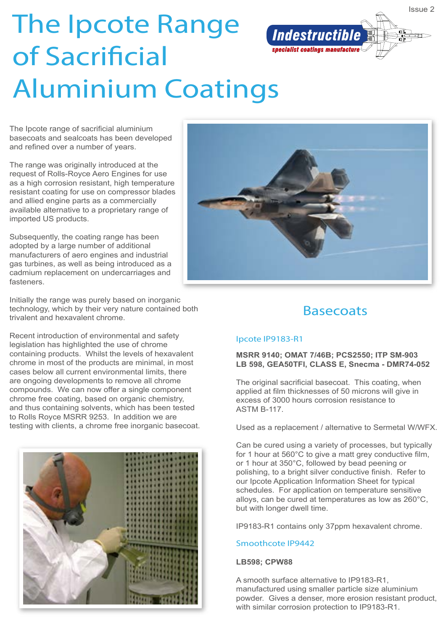

The Ipcote range of sacrificial aluminium basecoats and sealcoats has been developed and refined over a number of years.

The range was originally introduced at the request of Rolls-Royce Aero Engines for use as a high corrosion resistant, high temperature resistant coating for use on compressor blades and allied engine parts as a commercially available alternative to a proprietary range of imported US products.

Subsequently, the coating range has been adopted by a large number of additional manufacturers of aero engines and industrial gas turbines, as well as being introduced as a cadmium replacement on undercarriages and fasteners.

Initially the range was purely based on inorganic technology, which by their very nature contained both trivalent and hexavalent chrome.

Recent introduction of environmental and safety legislation has highlighted the use of chrome containing products. Whilst the levels of hexavalent chrome in most of the products are minimal, in most cases below all current environmental limits, there are ongoing developments to remove all chrome compounds. We can now offer a single component chrome free coating, based on organic chemistry, and thus containing solvents, which has been tested to Rolls Royce MSRR 9253. In addition we are testing with clients, a chrome free inorganic basecoat.





## **Basecoats**

## Ipcote IP9183-R1

**MSRR 9140; OMAT 7/46B; PCS2550; ITP SM-903 LB 598, GEA50TFI, CLASS E, Snecma - DMR74-052**

The original sacrificial basecoat. This coating, when applied at film thicknesses of 50 microns will give in excess of 3000 hours corrosion resistance to ASTM B-117.

Used as a replacement / alternative to Sermetal W/WFX.

Can be cured using a variety of processes, but typically for 1 hour at 560°C to give a matt grey conductive film, or 1 hour at 350°C, followed by bead peening or polishing, to a bright silver conductive finish. Refer to our Ipcote Application Information Sheet for typical schedules. For application on temperature sensitive alloys, can be cured at temperatures as low as 260°C, but with longer dwell time.

IP9183-R1 contains only 37ppm hexavalent chrome.

## Smoothcote IP9442

#### **LB598; CPW88**

A smooth surface alternative to IP9183-R1, manufactured using smaller particle size aluminium powder. Gives a denser, more erosion resistant product, with similar corrosion protection to IP9183-R1.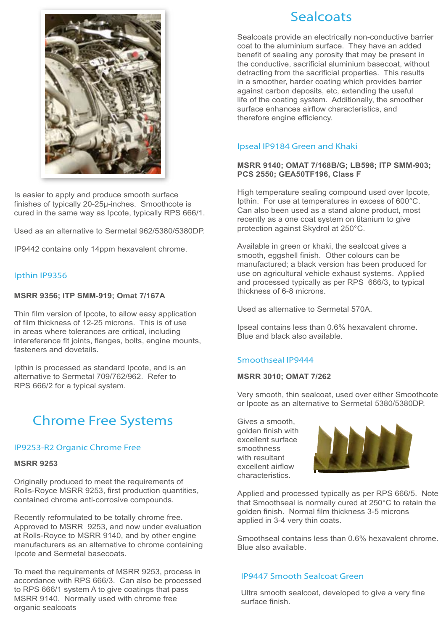

Is easier to apply and produce smooth surface finishes of typically 20-25µ-inches. Smoothcote is cured in the same way as Ipcote, typically RPS 666/1.

Used as an alternative to Sermetal 962/5380/5380DP.

IP9442 contains only 14ppm hexavalent chrome.

### Ipthin IP9356

#### **MSRR 9356; ITP SMM-919; Omat 7/167A**

Thin film version of Ipcote, to allow easy application of film thickness of 12-25 microns. This is of use in areas where tolerances are critical, including intereference fit joints, flanges, bolts, engine mounts, fasteners and dovetails.

Ipthin is processed as standard Ipcote, and is an alternative to Sermetal 709/762/962. Refer to RPS 666/2 for a typical system.

# Chrome Free Systems

#### IP9253-R2 Organic Chrome Free

#### **MSRR 9253**

Originally produced to meet the requirements of Rolls-Royce MSRR 9253, first production quantities, contained chrome anti-corrosive compounds.

Recently reformulated to be totally chrome free. Approved to MSRR 9253, and now under evaluation at Rolls-Royce to MSRR 9140, and by other engine manufacturers as an alternative to chrome containing Ipcote and Sermetal basecoats.

To meet the requirements of MSRR 9253, process in accordance with RPS 666/3. Can also be processed to RPS 666/1 system A to give coatings that pass MSRR 9140. Normally used with chrome free organic sealcoats

## **Sealcoats**

Sealcoats provide an electrically non-conductive barrier coat to the aluminium surface. They have an added benefit of sealing any porosity that may be present in the conductive, sacrificial aluminium basecoat, without detracting from the sacrificial properties. This results in a smoother, harder coating which provides barrier against carbon deposits, etc, extending the useful life of the coating system. Additionally, the smoother surface enhances airflow characteristics, and therefore engine efficiency.

### Ipseal IP9184 Green and Khaki

### **MSRR 9140; OMAT 7/168B/G; LB598; ITP SMM-903; PCS 2550; GEA50TF196, Class F**

High temperature sealing compound used over Ipcote, Ipthin. For use at temperatures in excess of 600°C. Can also been used as a stand alone product, most recently as a one coat system on titanium to give protection against Skydrol at 250°C.

Available in green or khaki, the sealcoat gives a smooth, eggshell finish. Other colours can be manufactured; a black version has been produced for use on agricultural vehicle exhaust systems. Applied and processed typically as per RPS 666/3, to typical thickness of 6-8 microns.

Used as alternative to Sermetal 570A.

Ipseal contains less than 0.6% hexavalent chrome. Blue and black also available.

#### Smoothseal IP9444

#### **MSRR 3010; OMAT 7/262**

Very smooth, thin sealcoat, used over either Smoothcote or Ipcote as an alternative to Sermetal 5380/5380DP.

Gives a smooth, golden finish with excellent surface smoothness with resultant excellent airflow characteristics.



Applied and processed typically as per RPS 666/5. Note that Smoothseal is normally cured at 250°C to retain the golden finish. Normal film thickness 3-5 microns applied in 3-4 very thin coats.

Smoothseal contains less than 0.6% hexavalent chrome. Blue also available.

## IP9447 Smooth Sealcoat Green

Ultra smooth sealcoat, developed to give a very fine surface finish.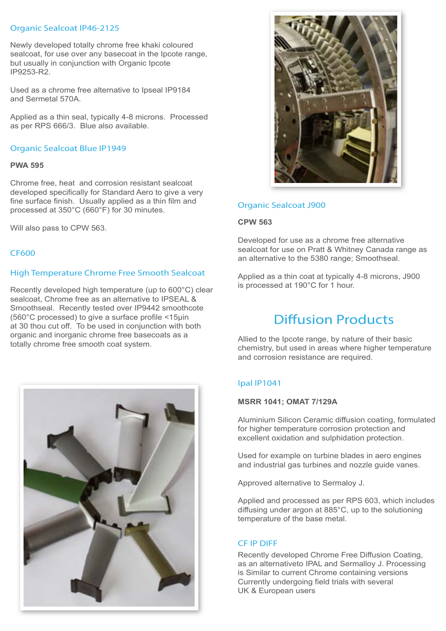## Organic Sealcoat IP46-2125

Newly developed totally chrome free khaki coloured sealcoat, for use over any basecoat in the Ipcote range, but usually in conjunction with Organic Ipcote IP9253-R2.

Used as a chrome free alternative to Ipseal IP9184 and Sermetal 570A.

Applied as a thin seal, typically 4-8 microns. Processed as per RPS 666/3. Blue also available.

#### Organic Sealcoat Blue IP1949

#### **PWA 595**

Chrome free, heat and corrosion resistant sealcoat developed specifically for Standard Aero to give a very fine surface finish. Usually applied as a thin film and processed at 350°C (660°F) for 30 minutes.

Will also pass to CPW 563.

#### CF600

#### High Temperature Chrome Free Smooth Sealcoat

Recently developed high temperature (up to 600°C) clear sealcoat, Chrome free as an alternative to IPSEAL & Smoothseal. Recently tested over IP9442 smoothcote (560°C processed) to give a surface profile <15µin at 30 thou cut off. To be used in conjunction with both organic and inorganic chrome free basecoats as a totally chrome free smooth coat system.





#### Organic Sealcoat J900

#### **CPW 563**

Developed for use as a chrome free alternative sealcoat for use on Pratt & Whitney Canada range as an alternative to the 5380 range; Smoothseal.

Applied as a thin coat at typically 4-8 microns, J900 is processed at 190°C for 1 hour.

# Diffusion Products

Allied to the Ipcote range, by nature of their basic chemistry, but used in areas where higher temperature and corrosion resistance are required.

## Ipal IP1041

#### **MSRR 1041; OMAT 7/129A**

Aluminium Silicon Ceramic diffusion coating, formulated for higher temperature corrosion protection and excellent oxidation and sulphidation protection.

Used for example on turbine blades in aero engines and industrial gas turbines and nozzle guide vanes.

Approved alternative to Sermaloy J.

Applied and processed as per RPS 603, which includes diffusing under argon at 885°C, up to the solutioning temperature of the base metal.

#### CF IP DIFF

Recently developed Chrome Free Diffusion Coating, as an alternativeto IPAL and Sermalloy J. Processing is Similar to current Chrome containing versions Currently undergoing field trials with several UK & European users